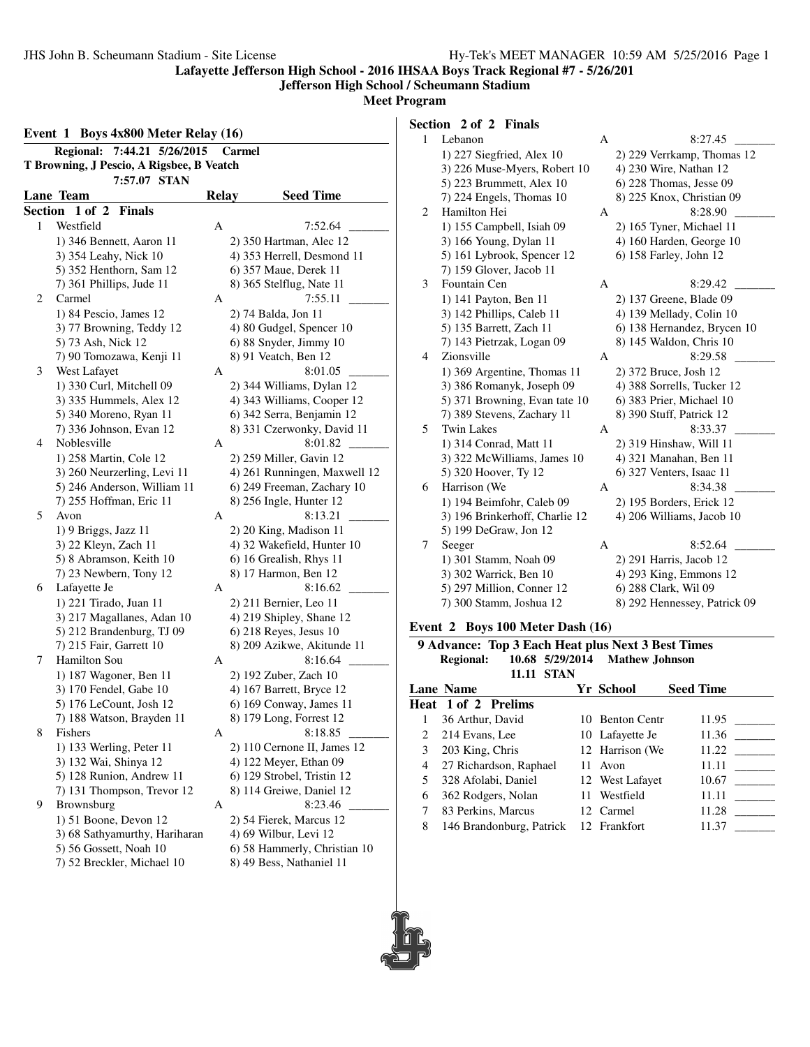#### **Jefferson High School / Scheumann Stadium**

**Meet Program**

| Event 1 Boys 4x800 Meter Relay (16) |                                           |              |                              |  |  |  |  |
|-------------------------------------|-------------------------------------------|--------------|------------------------------|--|--|--|--|
|                                     | Regional: 7:44.21 5/26/2015               |              | Carmel                       |  |  |  |  |
|                                     | T Browning, J Pescio, A Rigsbee, B Veatch |              |                              |  |  |  |  |
|                                     | 7:57.07 STAN                              |              |                              |  |  |  |  |
|                                     | Lane Team                                 | <b>Relay</b> | <b>Seed Time</b>             |  |  |  |  |
|                                     | Section 1 of 2 Finals                     |              |                              |  |  |  |  |
| 1                                   | Westfield                                 | А            | 7:52.64                      |  |  |  |  |
|                                     | 1) 346 Bennett, Aaron 11                  |              | 2) 350 Hartman, Alec 12      |  |  |  |  |
|                                     | 3) 354 Leahy, Nick 10                     |              | 4) 353 Herrell, Desmond 11   |  |  |  |  |
|                                     | 5) 352 Henthorn, Sam 12                   |              | 6) 357 Maue, Derek 11        |  |  |  |  |
|                                     | 7) 361 Phillips, Jude 11                  |              | 8) 365 Stelflug, Nate 11     |  |  |  |  |
| 2                                   | Carmel                                    | A            | 7:55.11                      |  |  |  |  |
|                                     | 1) 84 Pescio, James 12                    |              | 2) 74 Balda, Jon 11          |  |  |  |  |
|                                     | 3) 77 Browning, Teddy 12                  |              | 4) 80 Gudgel, Spencer 10     |  |  |  |  |
|                                     | 5) 73 Ash, Nick 12                        |              | 6) 88 Snyder, Jimmy 10       |  |  |  |  |
|                                     | 7) 90 Tomozawa, Kenji 11                  |              | 8) 91 Veatch, Ben 12         |  |  |  |  |
| 3                                   | West Lafayet                              | А            | 8:01.05                      |  |  |  |  |
|                                     | 1) 330 Curl, Mitchell 09                  |              | 2) 344 Williams, Dylan 12    |  |  |  |  |
|                                     | 3) 335 Hummels, Alex 12                   |              | 4) 343 Williams, Cooper 12   |  |  |  |  |
|                                     | 5) 340 Moreno, Ryan 11                    |              | 6) 342 Serra, Benjamin 12    |  |  |  |  |
|                                     | 7) 336 Johnson, Evan 12                   |              | 8) 331 Czerwonky, David 11   |  |  |  |  |
| 4                                   | Noblesville                               | Α            | 8:01.82                      |  |  |  |  |
|                                     | 1) 258 Martin, Cole 12                    |              | 2) 259 Miller, Gavin 12      |  |  |  |  |
|                                     | 3) 260 Neurzerling, Levi 11               |              | 4) 261 Runningen, Maxwell 12 |  |  |  |  |
|                                     | 5) 246 Anderson, William 11               |              | 6) 249 Freeman, Zachary 10   |  |  |  |  |
|                                     | 7) 255 Hoffman, Eric 11                   |              | 8) 256 Ingle, Hunter 12      |  |  |  |  |
| 5                                   | Avon                                      | А            | 8:13.21                      |  |  |  |  |
|                                     | 1) 9 Briggs, Jazz 11                      |              | 2) 20 King, Madison 11       |  |  |  |  |
|                                     | 3) 22 Kleyn, Zach 11                      |              | 4) 32 Wakefield, Hunter 10   |  |  |  |  |
|                                     | 5) 8 Abramson, Keith 10                   |              | 6) 16 Grealish, Rhys 11      |  |  |  |  |
|                                     | 7) 23 Newbern, Tony 12                    |              | 8) 17 Harmon, Ben 12         |  |  |  |  |
| 6                                   | Lafayette Je                              | Α            | 8:16.62                      |  |  |  |  |
|                                     | 1) 221 Tirado, Juan 11                    |              | 2) 211 Bernier, Leo 11       |  |  |  |  |
|                                     | 3) 217 Magallanes, Adan 10                |              | 4) 219 Shipley, Shane 12     |  |  |  |  |
|                                     | 5) 212 Brandenburg, TJ 09                 |              | 6) 218 Reyes, Jesus 10       |  |  |  |  |
|                                     | 7) 215 Fair, Garrett 10                   |              | 8) 209 Azikwe, Akitunde 11   |  |  |  |  |
| 7                                   | Hamilton Sou                              | А            | 8:16.64                      |  |  |  |  |
|                                     | 1) 187 Wagoner, Ben 11                    |              | 2) 192 Zuber, Zach 10        |  |  |  |  |
|                                     | 3) 170 Fendel, Gabe 10                    |              | 4) 167 Barrett, Bryce 12     |  |  |  |  |
|                                     | 5) 176 LeCount, Josh 12                   |              | 6) 169 Conway, James 11      |  |  |  |  |
|                                     | 7) 188 Watson, Brayden 11                 |              | 8) 179 Long, Forrest 12      |  |  |  |  |
| 8                                   | Fishers                                   | А            | 8:18.85                      |  |  |  |  |
|                                     | 1) 133 Werling, Peter 11                  |              | 2) 110 Cernone II, James 12  |  |  |  |  |
|                                     | 3) 132 Wai, Shinya 12                     |              | 4) 122 Meyer, Ethan 09       |  |  |  |  |
|                                     | 5) 128 Runion, Andrew 11                  |              | 6) 129 Strobel, Tristin 12   |  |  |  |  |
|                                     | 7) 131 Thompson, Trevor 12                |              | 8) 114 Greiwe, Daniel 12     |  |  |  |  |
| 9                                   | Brownsburg                                | A            | 8:23.46                      |  |  |  |  |
|                                     | 1) 51 Boone, Devon 12                     |              | 2) 54 Fierek, Marcus 12      |  |  |  |  |
|                                     | 3) 68 Sathyamurthy, Hariharan             |              | 4) 69 Wilbur, Levi 12        |  |  |  |  |
|                                     | 5) 56 Gossett, Noah 10                    |              | 6) 58 Hammerly, Christian 10 |  |  |  |  |
|                                     | 7) 52 Breckler, Michael 10                |              | 8) 49 Bess, Nathaniel 11     |  |  |  |  |
|                                     |                                           |              |                              |  |  |  |  |

# **Section 2 of 2 Finals**

| 1 | Lebanon                        | A | 8:27.45                      |
|---|--------------------------------|---|------------------------------|
|   | $1)$ 227 Siegfried, Alex 10    |   | 2) 229 Verrkamp, Thomas 12   |
|   | 3) 226 Muse-Myers, Robert 10   |   | 4) 230 Wire, Nathan 12       |
|   | 5) 223 Brummett, Alex 10       |   | $6)$ 228 Thomas, Jesse 09    |
|   | 7) 224 Engels, Thomas 10       |   | 8) 225 Knox, Christian 09    |
| 2 | Hamilton Hei                   | A | 8:28.90                      |
|   | 1) 155 Campbell, Isiah 09      |   | 2) 165 Tyner, Michael 11     |
|   | 3) 166 Young, Dylan 11         |   | 4) 160 Harden, George 10     |
|   | 5) 161 Lybrook, Spencer 12     |   | 6) 158 Farley, John 12       |
|   | 7) 159 Glover, Jacob 11        |   |                              |
| 3 | Fountain Cen                   | A | 8:29.42                      |
|   | 1) 141 Payton, Ben 11          |   | 2) 137 Greene, Blade 09      |
|   | 3) 142 Phillips, Caleb 11      |   | 4) 139 Mellady, Colin 10     |
|   | 5) 135 Barrett, Zach 11        |   | 6) 138 Hernandez, Brycen 10  |
|   | 7) 143 Pietrzak, Logan 09      |   | 8) 145 Waldon, Chris 10      |
| 4 | Zionsville                     | A | 8:29.58                      |
|   | 1) 369 Argentine, Thomas 11    |   | 2) 372 Bruce, Josh 12        |
|   | 3) 386 Romanyk, Joseph 09      |   | 4) 388 Sorrells, Tucker 12   |
|   | 5) 371 Browning, Evan tate 10  |   | 6) 383 Prier, Michael 10     |
|   | 7) 389 Stevens, Zachary 11     |   | 8) 390 Stuff, Patrick 12     |
| 5 | <b>Twin Lakes</b>              | A | 8:33.37                      |
|   | 1) 314 Conrad, Matt 11         |   | 2) 319 Hinshaw, Will 11      |
|   | 3) 322 McWilliams, James 10    |   | 4) 321 Manahan, Ben 11       |
|   | 5) 320 Hoover, Ty 12           |   | 6) 327 Venters, Isaac 11     |
| 6 | Harrison (We                   | A | 8:34.38                      |
|   | 1) 194 Beimfohr, Caleb 09      |   | 2) 195 Borders, Erick 12     |
|   | 3) 196 Brinkerhoff, Charlie 12 |   | 4) 206 Williams, Jacob 10    |
|   | 5) 199 DeGraw, Jon 12          |   |                              |
| 7 | Seeger                         | A | 8:52.64                      |
|   | 1) 301 Stamm, Noah 09          |   | 2) 291 Harris, Jacob 12      |
|   | 3) 302 Warrick, Ben 10         |   | 4) 293 King, Emmons 12       |
|   | 5) 297 Million, Conner 12      |   | 6) 288 Clark, Wil 09         |
|   | 7) 300 Stamm, Joshua 12        |   | 8) 292 Hennessey, Patrick 09 |
|   |                                |   |                              |

#### **Event 2 Boys 100 Meter Dash (16)**

ŎĨ

|   | 9 Advance: Top 3 Each Heat plus Next 3 Best Times |  |                                |                  |  |  |  |
|---|---------------------------------------------------|--|--------------------------------|------------------|--|--|--|
|   | <b>Regional:</b>                                  |  | 10.68 5/29/2014 Mathew Johnson |                  |  |  |  |
|   | <b>STAN</b><br>11.11                              |  |                                |                  |  |  |  |
|   | <b>Lane Name</b>                                  |  | Yr School                      | <b>Seed Time</b> |  |  |  |
|   | <b>Heat 1 of 2 Prelims</b>                        |  |                                |                  |  |  |  |
| 1 | 36 Arthur, David                                  |  | 10 Benton Centr                | 11.95            |  |  |  |
| 2 | 214 Evans, Lee                                    |  | 10 Lafavette Je                | 11.36            |  |  |  |
| 3 | 203 King, Chris                                   |  | 12 Harrison (We                | 11.22            |  |  |  |
| 4 | 27 Richardson, Raphael                            |  | 11 Avon                        | 11.11            |  |  |  |
| 5 | 328 Afolabi, Daniel                               |  | 12 West Lafayet                | 10.67            |  |  |  |
| 6 | 362 Rodgers, Nolan                                |  | 11 Westfield                   | 11.11            |  |  |  |
|   | 83 Perkins, Marcus                                |  | 12 Carmel                      | 11.28            |  |  |  |
| 8 | 146 Brandonburg, Patrick 12 Frankfort             |  |                                | 11.37            |  |  |  |
|   |                                                   |  |                                |                  |  |  |  |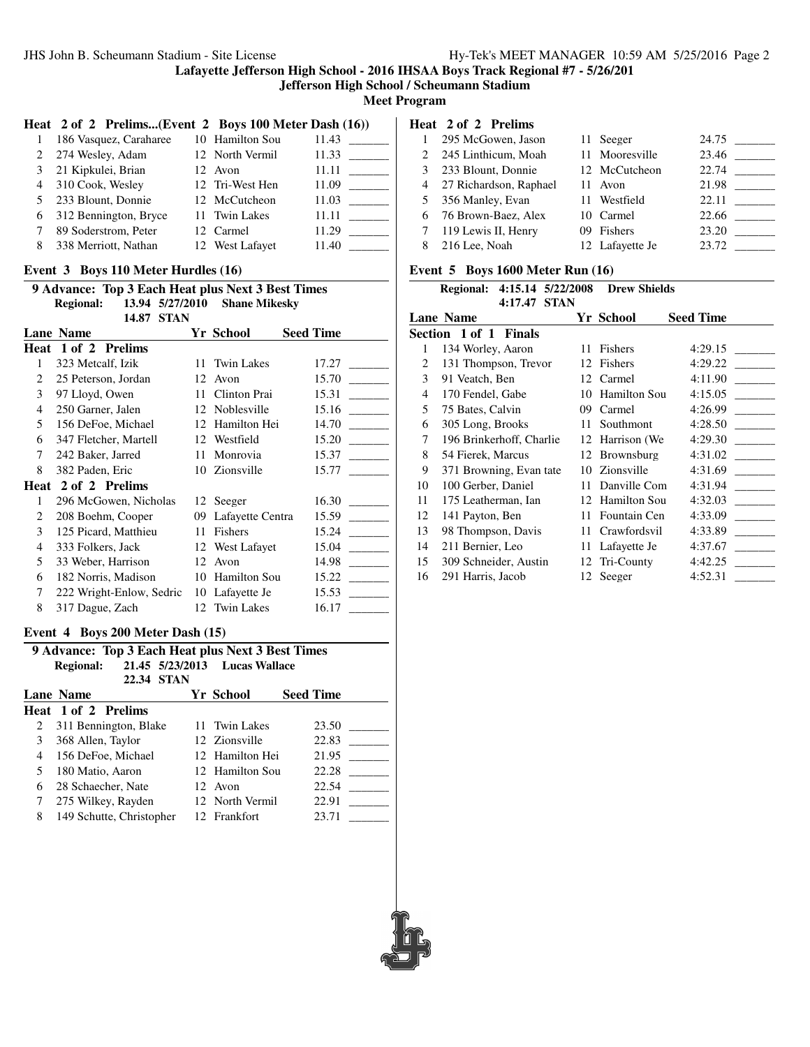**Jefferson High School / Scheumann Stadium**

**Meet Program**

#### **Heat 2 of 2 Prelims...(Event 2 Boys 100 Meter Dash (16))**

|               | 186 Vasquez, Caraharee | 10 Hamilton Sou | 11.43 |
|---------------|------------------------|-----------------|-------|
| 2             | 274 Wesley, Adam       | 12 North Vermil | 11.33 |
| $\mathcal{F}$ | 21 Kipkulei, Brian     | 12 Avon         | 11.11 |
| 4             | 310 Cook, Wesley       | 12 Tri-West Hen | 11.09 |
| 5             | 233 Blount, Donnie     | 12 McCutcheon   | 11.03 |
| 6             | 312 Bennington, Bryce  | 11 Twin Lakes   | 11.11 |
|               | 89 Soderstrom, Peter   | 12 Carmel       | 11.29 |
| 8             | 338 Merriott, Nathan   | 12 West Lafavet | 11.40 |

#### **Event 3 Boys 110 Meter Hurdles (16)**

|                | 9 Advance: Top 3 Each Heat plus Next 3 Best Times |    |                      |                  |  |  |  |
|----------------|---------------------------------------------------|----|----------------------|------------------|--|--|--|
|                | 13.94 5/27/2010<br><b>Regional:</b>               |    | <b>Shane Mikesky</b> |                  |  |  |  |
|                | 14.87<br><b>STAN</b>                              |    |                      |                  |  |  |  |
|                | Lane Name                                         |    | Yr School            | <b>Seed Time</b> |  |  |  |
| Heat           | 1 of 2 Prelims                                    |    |                      |                  |  |  |  |
| 1              | 323 Metcalf, Izik                                 | 11 | <b>Twin Lakes</b>    | 17.27            |  |  |  |
| 2              | 25 Peterson, Jordan                               | 12 | Avon                 | 15.70            |  |  |  |
| 3              | 97 Lloyd, Owen                                    | 11 | Clinton Prai         | 15.31            |  |  |  |
| $\overline{4}$ | 250 Garner, Jalen                                 | 12 | Noblesville          | 15.16            |  |  |  |
| 5              | 156 DeFoe, Michael                                | 12 | Hamilton Hei         | 14.70            |  |  |  |
| 6              | 347 Fletcher, Martell                             | 12 | Westfield            | 15.20            |  |  |  |
| 7              | 242 Baker, Jarred                                 | 11 | Monrovia             | 15.37            |  |  |  |
| 8              | 382 Paden, Eric                                   | 10 | Zionsville           | 15.77            |  |  |  |
| Heat           | 2 of 2 Prelims                                    |    |                      |                  |  |  |  |
| 1              | 296 McGowen, Nicholas                             |    | 12 Seeger            | 16.30            |  |  |  |
| 2              | 208 Boehm, Cooper                                 | 09 | Lafayette Centra     | 15.59            |  |  |  |
| 3              | 125 Picard, Matthieu                              | 11 | Fishers              | 15.24            |  |  |  |
| 4              | 333 Folkers, Jack                                 | 12 | West Lafayet         | 15.04            |  |  |  |
| 5              | 33 Weber, Harrison                                | 12 | Avon                 | 14.98            |  |  |  |
| 6              | 182 Norris, Madison                               | 10 | <b>Hamilton Sou</b>  | 15.22            |  |  |  |
| 7              | 222 Wright-Enlow, Sedric                          | 10 | Lafayette Je         | 15.53            |  |  |  |
| 8              | 317 Dague, Zach                                   |    | 12 Twin Lakes        | 16.17            |  |  |  |

#### **Event 4 Boys 200 Meter Dash (15)**

| 9 Advance: Top 3 Each Heat plus Next 3 Best Times |                            |  |                               |                  |  |
|---------------------------------------------------|----------------------------|--|-------------------------------|------------------|--|
|                                                   | <b>Regional:</b>           |  | 21.45 5/23/2013 Lucas Wallace |                  |  |
|                                                   | 22.34 STAN                 |  |                               |                  |  |
|                                                   | Lane Name                  |  | Yr School                     | <b>Seed Time</b> |  |
|                                                   | <b>Heat 1 of 2 Prelims</b> |  |                               |                  |  |
| 2                                                 | 311 Bennington, Blake      |  | 11 Twin Lakes                 | 23.50            |  |
| 3                                                 | 368 Allen, Taylor          |  | 12 Zionsville                 | 22.83            |  |
| 4                                                 | 156 DeFoe, Michael         |  | 12 Hamilton Hei               | 21.95            |  |
| 5                                                 | 180 Matio, Aaron           |  | 12 Hamilton Sou               | 22.28            |  |
| 6                                                 | 28 Schaecher, Nate         |  | 12 Avon                       | 22.54            |  |
| 7                                                 | 275 Wilkey, Rayden         |  | 12 North Vermil               | 22.91            |  |
| 8                                                 | 149 Schutte, Christopher   |  | 12 Frankfort                  | 23.71            |  |

## **Heat 2 of 2 Prelims**

|               | 295 McGowen, Jason     | 11 Seeger       | 24.75                             |
|---------------|------------------------|-----------------|-----------------------------------|
| $\mathcal{L}$ | 245 Linthicum, Moah    | 11 Mooresville  | 23.46<br><b>Contract Contract</b> |
| 3             | 233 Blount, Donnie     | 12 McCutcheon   | 22.74                             |
|               | 27 Richardson, Raphael | 11 Avon         | 21.98                             |
| 5.            | 356 Manley, Evan       | 11 Westfield    | 22.11                             |
| 6             | 76 Brown-Baez, Alex    | 10 Carmel       | 22.66                             |
|               | 119 Lewis II, Henry    | 09 Fishers      | 23.20                             |
| 8             | 216 Lee, Noah          | 12 Lafayette Je | 23.72                             |

## **Event 5 Boys 1600 Meter Run (16)**

|    | <b>Regional:</b>         | 4:15.14 5/22/2008 | <b>Drew Shields</b> |                  |
|----|--------------------------|-------------------|---------------------|------------------|
|    | 4:17.47                  | <b>STAN</b>       |                     |                  |
|    | <b>Lane Name</b>         |                   | Yr School           | <b>Seed Time</b> |
|    | Section 1 of 1 Finals    |                   |                     |                  |
| 1  | 134 Worley, Aaron        | 11                | Fishers             | 4:29.15          |
| 2  | 131 Thompson, Trevor     | 12                | Fishers             | 4:29.22          |
| 3  | 91 Veatch, Ben           | 12                | Carmel              | 4:11.90          |
| 4  | 170 Fendel, Gabe         | 10                | Hamilton Sou        | 4:15.05          |
| 5. | 75 Bates, Calvin         | 09                | Carmel              | 4:26.99          |
| 6  | 305 Long, Brooks         | 11                | Southmont           | 4:28.50          |
| 7  | 196 Brinkerhoff, Charlie | 12                | Harrison (We        | 4:29.30          |
| 8  | 54 Fierek, Marcus        | 12                | Brownsburg          | 4:31.02          |
| 9  | 371 Browning, Evan tate  | 10                | Zionsville          | 4:31.69          |
| 10 | 100 Gerber, Daniel       | 11                | Danville Com        | 4:31.94          |
| 11 | 175 Leatherman, Ian      | 12                | <b>Hamilton Sou</b> | 4:32.03          |
| 12 | 141 Payton, Ben          | 11                | Fountain Cen        | 4:33.09          |
| 13 | 98 Thompson, Davis       | 11                | Crawfordsvil        | 4:33.89          |
| 14 | 211 Bernier, Leo         | 11                | Lafayette Je        | 4:37.67          |
| 15 | 309 Schneider, Austin    | 12                | Tri-County          | 4:42.25          |
| 16 | 291 Harris, Jacob        |                   | 12 Seeger           | 4:52.31          |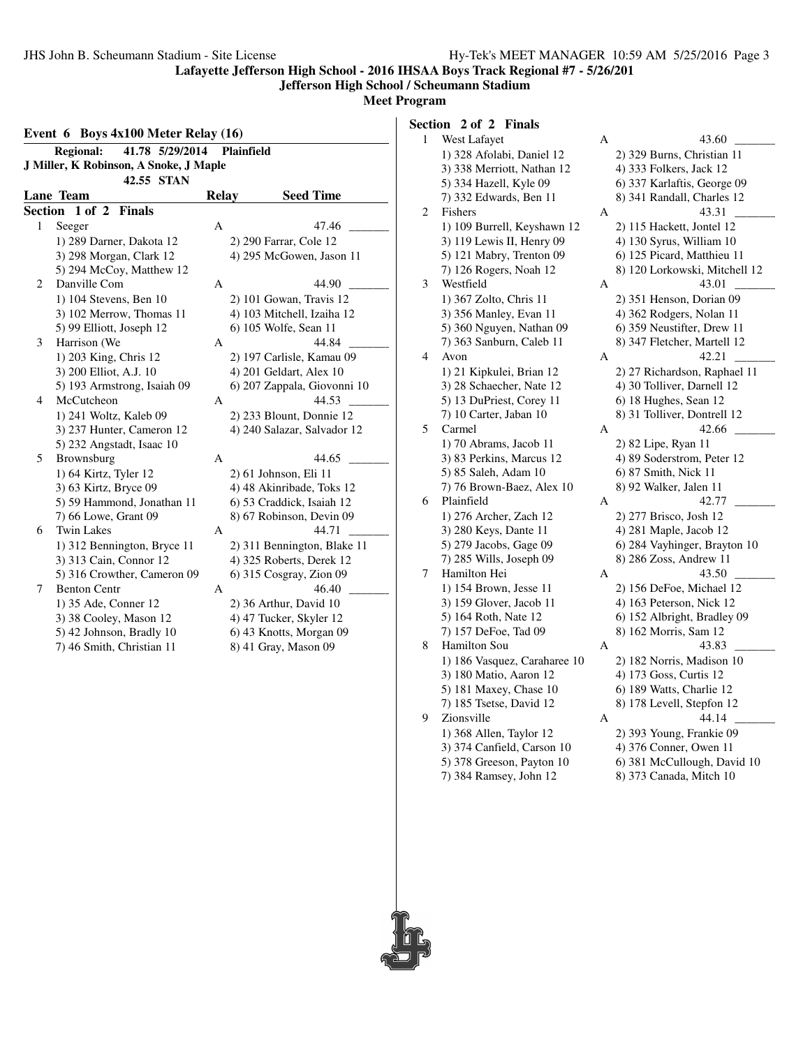#### **Jefferson High School / Scheumann Stadium**

**Meet Program**

|              | Event $6$ Boys $4x100$ Meter Relay $(16)$          |              |                                                   |  |  |
|--------------|----------------------------------------------------|--------------|---------------------------------------------------|--|--|
|              | 41.78 5/29/2014<br><b>Regional:</b>                |              | Plainfield                                        |  |  |
|              | J Miller, K Robinson, A Snoke, J Maple             |              |                                                   |  |  |
|              | 42.55 STAN                                         |              |                                                   |  |  |
|              | Lane Team                                          | <b>Relay</b> | <b>Seed Time</b>                                  |  |  |
|              | Section 1 of 2 Finals                              |              |                                                   |  |  |
| $\mathbf{1}$ | Seeger                                             | A            | 47.46                                             |  |  |
|              | 1) 289 Darner, Dakota 12                           |              | 2) 290 Farrar, Cole 12                            |  |  |
|              | 3) 298 Morgan, Clark 12                            |              | 4) 295 McGowen, Jason 11                          |  |  |
|              | 5) 294 McCoy, Matthew 12                           |              |                                                   |  |  |
| 2            | Danville Com                                       | А            | 44.90                                             |  |  |
|              | 1) 104 Stevens, Ben 10                             |              | 2) 101 Gowan, Travis 12                           |  |  |
|              | 3) 102 Merrow, Thomas 11                           |              | 4) 103 Mitchell, Izaiha 12                        |  |  |
|              | 5) 99 Elliott, Joseph 12                           |              | 6) 105 Wolfe, Sean 11                             |  |  |
| 3            | Harrison (We                                       | A            | 44.84                                             |  |  |
|              | 1) 203 King, Chris 12                              |              | 2) 197 Carlisle, Kamau 09                         |  |  |
|              | 3) 200 Elliot, A.J. 10                             |              | 4) 201 Geldart, Alex 10                           |  |  |
|              | 5) 193 Armstrong, Isaiah 09                        |              | 6) 207 Zappala, Giovonni 10                       |  |  |
| 4            | McCutcheon                                         | А            | 44.53                                             |  |  |
|              | 1) 241 Woltz, Kaleb 09                             |              | 2) 233 Blount, Donnie 12                          |  |  |
|              | 3) 237 Hunter, Cameron 12                          |              | 4) 240 Salazar, Salvador 12                       |  |  |
|              | 5) 232 Angstadt, Isaac 10                          |              |                                                   |  |  |
| 5            | Brownsburg                                         | A            | 44.65                                             |  |  |
|              | 1) 64 Kirtz, Tyler 12                              |              | 2) 61 Johnson, Eli 11                             |  |  |
|              | 3) 63 Kirtz, Bryce 09                              |              | 4) 48 Akinribade, Toks 12                         |  |  |
|              | 5) 59 Hammond, Jonathan 11                         |              | 6) 53 Craddick, Isaiah 12                         |  |  |
|              | 7) 66 Lowe, Grant 09                               |              | 8) 67 Robinson, Devin 09                          |  |  |
| 6            | <b>Twin Lakes</b>                                  | А            | 44.71                                             |  |  |
|              | 1) 312 Bennington, Bryce 11                        |              | 2) 311 Bennington, Blake 11                       |  |  |
|              | 3) 313 Cain, Connor 12                             |              | 4) 325 Roberts, Derek 12                          |  |  |
| 7            | 5) 316 Crowther, Cameron 09<br><b>Benton Centr</b> |              | 6) 315 Cosgray, Zion 09<br>46.40                  |  |  |
|              |                                                    | А            |                                                   |  |  |
|              | 1) 35 Ade, Conner 12<br>3) 38 Cooley, Mason 12     |              | 2) 36 Arthur, David 10<br>4) 47 Tucker, Skyler 12 |  |  |
|              | 5) 42 Johnson, Bradly 10                           |              | 6) 43 Knotts, Morgan 09                           |  |  |
|              | 7) 46 Smith, Christian 11                          |              |                                                   |  |  |
|              |                                                    |              | 8) 41 Gray, Mason 09                              |  |  |

**Section 2 of 2 Finals**

| 1 | West Lafayet                     | A | 43.60                                                      |
|---|----------------------------------|---|------------------------------------------------------------|
|   | 1) 328 Afolabi, Daniel 12        |   | 2) 329 Burns, Christian 11                                 |
|   | 3) 338 Merriott, Nathan 12       |   | 4) 333 Folkers, Jack 12                                    |
|   | 5) 334 Hazell, Kyle 09           |   | 6) 337 Karlaftis, George 09                                |
|   | 7) 332 Edwards, Ben 11           |   | 8) 341 Randall, Charles 12                                 |
|   | Fishers                          | Α | 43.31                                                      |
|   | 1) 109 Burrell, Keyshawn 12      |   | 2) 115 Hackett, Jontel 12                                  |
|   | 3) 119 Lewis II, Henry 09        |   | 4) 130 Syrus, William 10                                   |
|   | 5) 121 Mabry, Trenton 09         |   | 6) 125 Picard, Matthieu 11                                 |
|   | 7) 126 Rogers, Noah 12           |   | 8) 120 Lorkowski, Mitchell 12                              |
|   | Westfield                        | Α | 43.01                                                      |
|   | 1) 367 Zolto, Chris 11           |   | 2) 351 Henson, Dorian 09                                   |
|   | 3) 356 Manley, Evan 11           |   | 4) 362 Rodgers, Nolan 11                                   |
|   | 5) 360 Nguyen, Nathan 09         |   | 6) 359 Neustifter, Drew 11                                 |
|   | 7) 363 Sanburn, Caleb 11         |   | 8) 347 Fletcher, Martell 12                                |
|   |                                  |   | 42.21                                                      |
|   | Avon                             | A |                                                            |
|   | 1) 21 Kipkulei, Brian 12         |   | 2) 27 Richardson, Raphael 11<br>4) 30 Tolliver, Darnell 12 |
|   | 3) 28 Schaecher, Nate 12         |   |                                                            |
|   | 5) 13 DuPriest, Corey 11         |   | 6) 18 Hughes, Sean 12                                      |
|   | 7) 10 Carter, Jaban 10<br>Carmel |   | 8) 31 Tolliver, Dontrell 12                                |
|   |                                  | A | 42.66                                                      |
|   | 1) 70 Abrams, Jacob 11           |   | 2) 82 Lipe, Ryan 11                                        |
|   | 3) 83 Perkins, Marcus 12         |   | 4) 89 Soderstrom, Peter 12                                 |
|   | 5) 85 Saleh, Adam 10             |   | 6) 87 Smith, Nick 11                                       |
|   | 7) 76 Brown-Baez, Alex 10        |   | 8) 92 Walker, Jalen 11                                     |
|   | Plainfield                       | А | 42.77                                                      |
|   | 1) 276 Archer, Zach 12           |   | 2) 277 Brisco, Josh 12                                     |
|   | 3) 280 Keys, Dante 11            |   | 4) 281 Maple, Jacob 12                                     |
|   | 5) 279 Jacobs, Gage 09           |   | 6) 284 Vayhinger, Brayton 10                               |
|   | 7) 285 Wills, Joseph 09          |   | 8) 286 Zoss, Andrew 11                                     |
|   | Hamilton Hei                     | A | 43.50                                                      |
|   | 1) 154 Brown, Jesse 11           |   | 2) 156 DeFoe, Michael 12                                   |
|   | 3) 159 Glover, Jacob 11          |   | 4) 163 Peterson, Nick 12                                   |
|   | 5) 164 Roth, Nate 12             |   | 6) 152 Albright, Bradley 09                                |
|   | 7) 157 DeFoe, Tad 09             |   | 8) 162 Morris, Sam 12                                      |
|   | Hamilton Sou                     | А | 43.83                                                      |
|   | 1) 186 Vasquez, Caraharee 10     |   | 2) 182 Norris, Madison 10                                  |
|   | 3) 180 Matio, Aaron 12           |   | 4) 173 Goss, Curtis 12                                     |
|   | 5) 181 Maxey, Chase 10           |   | 6) 189 Watts, Charlie 12                                   |
|   | 7) 185 Tsetse, David 12          |   | 8) 178 Levell, Stepfon 12                                  |
|   | Zionsville                       | Α | 44.14                                                      |
|   | 1) 368 Allen, Taylor 12          |   | 2) 393 Young, Frankie 09                                   |
|   | 3) 374 Canfield, Carson 10       |   | 4) 376 Conner, Owen 11                                     |
|   |                                  |   | 6) 381 McCullough, David 10                                |
|   | 5) 378 Greeson, Payton 10        |   |                                                            |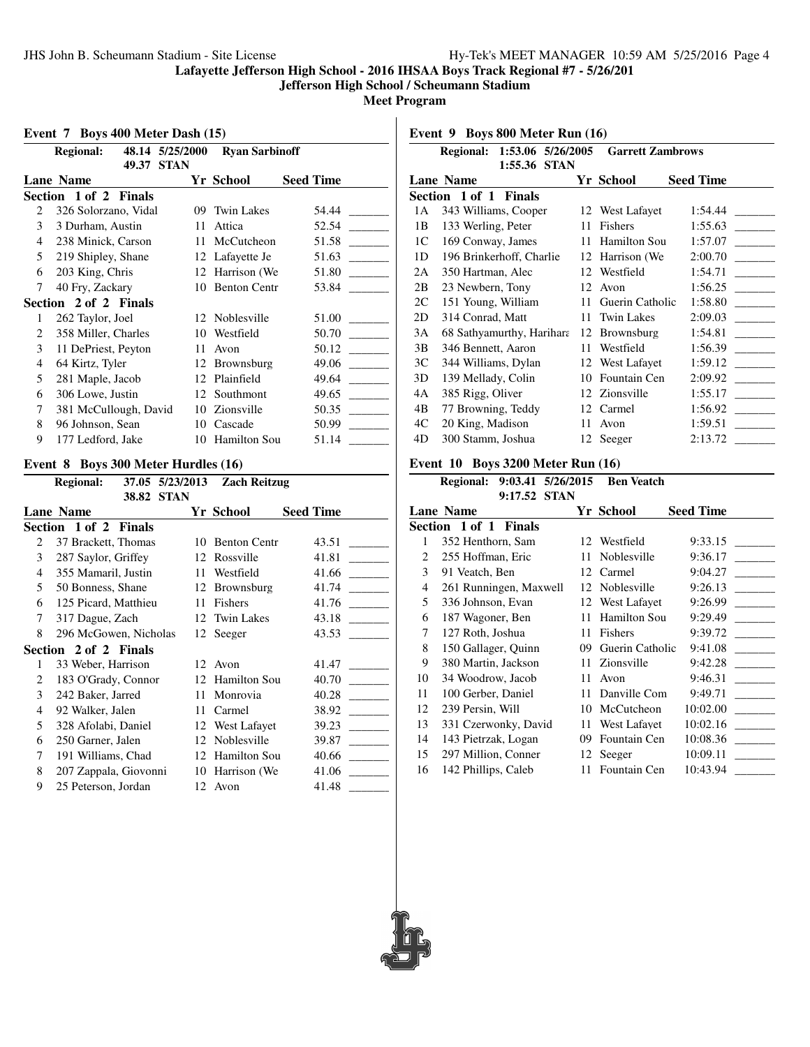**Jefferson High School / Scheumann Stadium**

**Meet Program**

#### **Event 7 Boys 400 Meter Dash (15)**

|   | 48.14 5/25/2000<br><b>Regional:</b> | <b>Ryan Sarbinoff</b> |                     |                  |
|---|-------------------------------------|-----------------------|---------------------|------------------|
|   | 49.37                               | <b>STAN</b>           |                     |                  |
|   | <b>Lane Name</b>                    |                       | Yr School           | <b>Seed Time</b> |
|   | Section 1 of 2 Finals               |                       |                     |                  |
| 2 | 326 Solorzano, Vidal                | 09                    | <b>Twin Lakes</b>   | 54.44            |
| 3 | 3 Durham, Austin                    | 11                    | Attica              | 52.54            |
| 4 | 238 Minick, Carson                  | 11                    | McCutcheon          | 51.58            |
| 5 | 219 Shipley, Shane                  |                       | 12 Lafayette Je     | 51.63            |
| 6 | 203 King, Chris                     |                       | 12 Harrison (We     | 51.80            |
| 7 | 40 Fry, Zackary                     | 10                    | <b>Benton Centr</b> | 53.84            |
|   | Section 2 of 2 Finals               |                       |                     |                  |
| 1 | 262 Taylor, Joel                    |                       | 12 Noblesville      | 51.00            |
| 2 | 358 Miller, Charles                 | 10                    | Westfield           | 50.70            |
| 3 | 11 DePriest, Peyton                 | 11                    | Avon                | 50.12            |
| 4 | 64 Kirtz, Tyler                     | 12                    | <b>Brownsburg</b>   | 49.06            |
| 5 | 281 Maple, Jacob                    | 12                    | Plainfield          | 49.64            |
| 6 | 306 Lowe, Justin                    | 12                    | Southmont           | 49.65            |
| 7 | 381 McCullough, David               | 10                    | Zionsville          | 50.35            |
| 8 | 96 Johnson, Sean                    |                       | 10 Cascade          | 50.99            |
| 9 | 177 Ledford, Jake                   |                       | 10 Hamilton Sou     | 51.14            |

#### **Event 8 Boys 300 Meter Hurdles (16)**

|                | <b>Regional:</b>      |       | 37.05 5/23/2013 | <b>Zach Reitzug</b> |                  |
|----------------|-----------------------|-------|-----------------|---------------------|------------------|
|                |                       | 38.82 | <b>STAN</b>     |                     |                  |
|                | <b>Lane Name</b>      |       |                 | Yr School           | <b>Seed Time</b> |
|                | Section 1 of 2 Finals |       |                 |                     |                  |
| $\mathfrak{D}$ | 37 Brackett, Thomas   |       | 10              | <b>Benton Centr</b> | 43.51            |
| 3              | 287 Saylor, Griffey   |       | 12              | Rossville           | 41.81            |
| 4              | 355 Mamaril, Justin   |       | 11              | Westfield           | 41.66            |
| 5              | 50 Bonness, Shane     |       | 12              | <b>Brownsburg</b>   | 41.74            |
| 6              | 125 Picard, Matthieu  |       | 11              | Fishers             | 41.76            |
| 7              | 317 Dague, Zach       |       | 12              | Twin Lakes          | 43.18            |
| 8              | 296 McGowen, Nicholas |       |                 | 12 Seeger           | 43.53            |
|                | Section 2 of 2 Finals |       |                 |                     |                  |
| 1              | 33 Weber, Harrison    |       |                 | 12 Avon             | 41.47            |
| 2              | 183 O'Grady, Connor   |       | 12              | <b>Hamilton Sou</b> | 40.70            |
| 3              | 242 Baker, Jarred     |       | 11              | Monrovia            | 40.28            |
| 4              | 92 Walker, Jalen      |       | 11              | Carmel              | 38.92            |
| 5              | 328 Afolabi, Daniel   |       |                 | 12 West Lafayet     | 39.23            |
| 6              | 250 Garner, Jalen     |       | 12              | Noblesville         | 39.87            |
| 7              | 191 Williams, Chad    |       | 12              | <b>Hamilton Sou</b> | 40.66            |
| 8              | 207 Zappala, Giovonni |       | 10              | Harrison (We        | 41.06            |
| 9              | 25 Peterson, Jordan   |       | 12              | Avon                | 41.48            |
|                |                       |       |                 |                     |                  |

**Event 9 Boys 800 Meter Run (16)**

|    | Regional: 1:53.06 5/26/2005 |         |             | <b>Garrett Zambrows</b> |                            |
|----|-----------------------------|---------|-------------|-------------------------|----------------------------|
|    | <b>Lane Name</b>            | 1:55.36 | <b>STAN</b> | Yr School               | <b>Seed Time</b>           |
|    | Section 1 of 1 Finals       |         |             |                         |                            |
| 1A | 343 Williams, Cooper        |         |             | 12 West Lafayet         | 1:54.44                    |
| 1B | 133 Werling, Peter          |         | 11          | Fishers                 | 1:55.63                    |
| 1C | 169 Conway, James           |         | 11          | Hamilton Sou            | 1:57.07                    |
| 1D | 196 Brinkerhoff, Charlie    |         |             | 12 Harrison (We         | 2:00.70                    |
| 2A | 350 Hartman, Alec           |         |             | 12 Westfield            | 1:54.71                    |
| 2B | 23 Newbern, Tony            |         |             | 12 Avon                 | 1:56.25                    |
| 2C | 151 Young, William          |         | 11          | Guerin Catholic         | 1:58.80                    |
| 2D | 314 Conrad, Matt            |         | 11.         | <b>Twin Lakes</b>       | 2:09.03                    |
| 3A | 68 Sathyamurthy, Harihara   |         | 12          | Brownsburg              | 1:54.81                    |
| 3B | 346 Bennett, Aaron          |         | 11          | Westfield               | 1:56.39<br><b>Contract</b> |
| 3C | 344 Williams, Dylan         |         |             | 12 West Lafayet         | 1:59.12                    |
| 3D | 139 Mellady, Colin          |         | 10          | Fountain Cen            | 2:09.92                    |
| 4A | 385 Rigg, Oliver            |         |             | 12 Zionsville           | 1:55.17                    |
| 4B | 77 Browning, Teddy          |         |             | 12 Carmel               | 1:56.92                    |
| 4C | 20 King, Madison            |         | 11          | Avon                    | 1:59.51                    |
| 4D | 300 Stamm, Joshua           |         |             | 12 Seeger               | 2:13.72                    |

### **Event 10 Boys 3200 Meter Run (16)**

#### **Regional: 9:03.41 5/26/2015 Ben Veatch 9:17.52 STAN**

| <b>Lane Name</b>       |    |                     | <b>Seed Time</b>                              |
|------------------------|----|---------------------|-----------------------------------------------|
| Section 1 of 1 Finals  |    |                     |                                               |
| 352 Henthorn, Sam      | 12 | Westfield           | 9:33.15                                       |
| 255 Hoffman, Eric      | 11 | Noblesville         | 9:36.17                                       |
| 91 Veatch, Ben         | 12 | Carmel              | 9:04.27                                       |
| 261 Runningen, Maxwell | 12 | Noblesville         | 9:26.13                                       |
| 336 Johnson, Evan      |    |                     | 9:26.99                                       |
| 187 Wagoner, Ben       | 11 | <b>Hamilton Sou</b> | 9:29.49                                       |
| 127 Roth, Joshua       | 11 | Fishers             | 9:39.72                                       |
| 150 Gallager, Quinn    | 09 | Guerin Catholic     | 9:41.08                                       |
| 380 Martin, Jackson    |    |                     | 9:42.28                                       |
| 34 Woodrow, Jacob      | 11 | Avon                | 9:46.31                                       |
| 100 Gerber, Daniel     | 11 | Danville Com        | 9:49.71                                       |
| 239 Persin, Will       | 10 | McCutcheon          | 10:02.00                                      |
| 331 Czerwonky, David   | 11 | West Lafayet        | 10:02.16                                      |
| 143 Pietrzak, Logan    | 09 | Fountain Cen        | 10:08.36                                      |
| 297 Million, Conner    | 12 | Seeger              | 10:09.11                                      |
| 142 Phillips, Caleb    | 11 | Fountain Cen        | 10:43.94                                      |
|                        |    |                     | Yr School<br>12 West Lafayet<br>11 Zionsville |

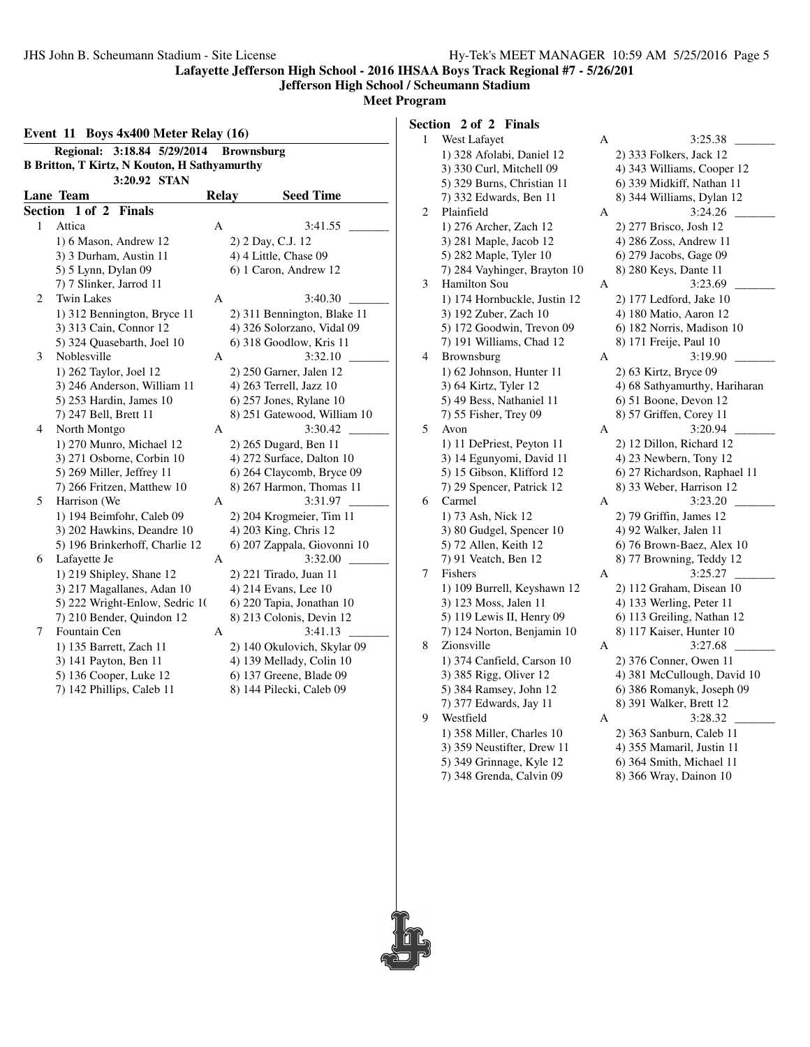#### **Jefferson High School / Scheumann Stadium**

**Meet Program**

| Event 11 Boys 4x400 Meter Relay (16) |                                                     |              |                             |  |  |  |  |  |  |  |  |
|--------------------------------------|-----------------------------------------------------|--------------|-----------------------------|--|--|--|--|--|--|--|--|
|                                      | <b>Regional:</b><br>3:18.84 5/29/2014               |              | <b>Brownsburg</b>           |  |  |  |  |  |  |  |  |
|                                      | <b>B Britton, T Kirtz, N Kouton, H Sathyamurthy</b> |              |                             |  |  |  |  |  |  |  |  |
|                                      | 3:20.92 STAN                                        |              |                             |  |  |  |  |  |  |  |  |
|                                      | Lane Team                                           | <b>Relay</b> | <b>Seed Time</b>            |  |  |  |  |  |  |  |  |
|                                      | Section 1 of 2 Finals                               |              |                             |  |  |  |  |  |  |  |  |
| 1                                    | Attica                                              | A            | 3:41.55                     |  |  |  |  |  |  |  |  |
|                                      | 1) 6 Mason, Andrew 12                               |              | 2) 2 Day, C.J. 12           |  |  |  |  |  |  |  |  |
|                                      | 3) 3 Durham, Austin 11                              |              | 4) 4 Little, Chase 09       |  |  |  |  |  |  |  |  |
|                                      | 5) 5 Lynn, Dylan 09                                 |              | 6) 1 Caron, Andrew 12       |  |  |  |  |  |  |  |  |
|                                      | 7) 7 Slinker, Jarrod 11                             |              |                             |  |  |  |  |  |  |  |  |
| 2                                    | <b>Twin Lakes</b>                                   | A            | 3:40.30                     |  |  |  |  |  |  |  |  |
|                                      | 1) 312 Bennington, Bryce 11                         |              | 2) 311 Bennington, Blake 11 |  |  |  |  |  |  |  |  |
|                                      | 3) 313 Cain, Connor 12                              |              | 4) 326 Solorzano, Vidal 09  |  |  |  |  |  |  |  |  |
|                                      | 5) 324 Quasebarth, Joel 10                          |              | 6) 318 Goodlow, Kris 11     |  |  |  |  |  |  |  |  |
| 3                                    | Noblesville                                         | А            | 3:32.10                     |  |  |  |  |  |  |  |  |
|                                      | 1) 262 Taylor, Joel 12                              |              | 2) 250 Garner, Jalen 12     |  |  |  |  |  |  |  |  |
|                                      | 3) 246 Anderson, William 11                         |              | 4) 263 Terrell, Jazz 10     |  |  |  |  |  |  |  |  |
|                                      | 5) 253 Hardin, James 10                             |              | $6$ ) 257 Jones, Rylane 10  |  |  |  |  |  |  |  |  |
|                                      | 7) 247 Bell, Brett 11                               |              | 8) 251 Gatewood, William 10 |  |  |  |  |  |  |  |  |
| 4                                    | North Montgo                                        | А            | 3:30.42                     |  |  |  |  |  |  |  |  |
|                                      | 1) 270 Munro, Michael 12                            |              | 2) 265 Dugard, Ben 11       |  |  |  |  |  |  |  |  |
|                                      | 3) 271 Osborne, Corbin 10                           |              | 4) 272 Surface, Dalton 10   |  |  |  |  |  |  |  |  |
|                                      | 5) 269 Miller, Jeffrey 11                           |              | 6) 264 Claycomb, Bryce 09   |  |  |  |  |  |  |  |  |
|                                      | 7) 266 Fritzen, Matthew 10                          |              | 8) 267 Harmon, Thomas 11    |  |  |  |  |  |  |  |  |
| 5                                    | Harrison (We                                        | Α            | 3:31.97                     |  |  |  |  |  |  |  |  |
|                                      | 1) 194 Beimfohr, Caleb 09                           |              | 2) 204 Krogmeier, Tim 11    |  |  |  |  |  |  |  |  |
|                                      | 3) 202 Hawkins, Deandre 10                          |              | 4) 203 King, Chris 12       |  |  |  |  |  |  |  |  |
|                                      | 5) 196 Brinkerhoff, Charlie 12                      |              | 6) 207 Zappala, Giovonni 10 |  |  |  |  |  |  |  |  |
| 6                                    | Lafayette Je                                        | A            | 3:32.00                     |  |  |  |  |  |  |  |  |
|                                      | 1) 219 Shipley, Shane 12                            |              | 2) 221 Tirado, Juan 11      |  |  |  |  |  |  |  |  |
|                                      | 3) 217 Magallanes, Adan 10                          |              | 4) 214 Evans, Lee 10        |  |  |  |  |  |  |  |  |
|                                      | 5) 222 Wright-Enlow, Sedric 1(                      |              | 6) 220 Tapia, Jonathan 10   |  |  |  |  |  |  |  |  |
|                                      | 7) 210 Bender, Quindon 12                           |              | 8) 213 Colonis, Devin 12    |  |  |  |  |  |  |  |  |
| 7                                    | Fountain Cen                                        | А            | 3:41.13                     |  |  |  |  |  |  |  |  |
|                                      | 1) 135 Barrett, Zach 11                             |              | 2) 140 Okulovich, Skylar 09 |  |  |  |  |  |  |  |  |
|                                      | 3) 141 Payton, Ben 11                               |              | 4) 139 Mellady, Colin 10    |  |  |  |  |  |  |  |  |
|                                      | 5) 136 Cooper, Luke 12                              |              | 6) 137 Greene, Blade 09     |  |  |  |  |  |  |  |  |
|                                      | 7) 142 Phillips, Caleb 11                           |              | 8) 144 Pilecki, Caleb 09    |  |  |  |  |  |  |  |  |

**Section 2 of 2 Finals**

| West Lafayet                 | А | 3:25.38                       |
|------------------------------|---|-------------------------------|
| 1) 328 Afolabi, Daniel 12    |   | 2) 333 Folkers, Jack 12       |
| 3) 330 Curl, Mitchell 09     |   | 4) 343 Williams, Cooper 12    |
| 5) 329 Burns, Christian 11   |   | 6) 339 Midkiff, Nathan 11     |
| 7) 332 Edwards, Ben 11       |   | 8) 344 Williams, Dylan 12     |
| Plainfield                   | А | 3:24.26                       |
| 1) 276 Archer, Zach 12       |   | 2) 277 Brisco, Josh 12        |
| 3) 281 Maple, Jacob 12       |   | 4) 286 Zoss, Andrew 11        |
| 5) 282 Maple, Tyler 10       |   | 6) 279 Jacobs, Gage 09        |
| 7) 284 Vayhinger, Brayton 10 |   | 8) 280 Keys, Dante 11         |
| Hamilton Sou                 | А | 3:23.69                       |
| 1) 174 Hornbuckle, Justin 12 |   | 2) 177 Ledford, Jake 10       |
| 3) 192 Zuber, Zach 10        |   | 4) 180 Matio, Aaron 12        |
| 5) 172 Goodwin, Trevon 09    |   | 6) 182 Norris, Madison 10     |
| 7) 191 Williams, Chad 12     |   | 8) 171 Freije, Paul 10        |
| Brownsburg                   | А | 3:19.90                       |
| 1) 62 Johnson, Hunter 11     |   | 2) 63 Kirtz, Bryce 09         |
| 3) 64 Kirtz, Tyler 12        |   | 4) 68 Sathyamurthy, Hariharan |
| 5) 49 Bess, Nathaniel 11     |   | 6) 51 Boone, Devon 12         |
|                              |   |                               |
| 7) 55 Fisher, Trey 09        |   | 8) 57 Griffen, Corey 11       |
| Avon                         | А | 3:20.94                       |
| 1) 11 DePriest, Peyton 11    |   | 2) 12 Dillon, Richard 12      |
| 3) 14 Egunyomi, David 11     |   | 4) 23 Newbern, Tony 12        |
| 5) 15 Gibson, Klifford 12    |   | 6) 27 Richardson, Raphael 11  |
| 7) 29 Spencer, Patrick 12    |   | 8) 33 Weber, Harrison 12      |
| Carmel                       | А | 3:23.20                       |
| 1) 73 Ash, Nick 12           |   | 2) 79 Griffin, James 12       |
| 3) 80 Gudgel, Spencer 10     |   | 4) 92 Walker, Jalen 11        |
| 5) 72 Allen, Keith 12        |   | 6) 76 Brown-Baez, Alex 10     |
| 7) 91 Veatch, Ben 12         |   | 8) 77 Browning, Teddy 12      |
| Fishers                      | Α | 3:25.27                       |
| 1) 109 Burrell, Keyshawn 12  |   | 2) 112 Graham, Disean 10      |
| 3) 123 Moss, Jalen 11        |   | 4) 133 Werling, Peter 11      |
| 5) 119 Lewis II, Henry 09    |   | 6) 113 Greiling, Nathan 12    |
| 7) 124 Norton, Benjamin 10   |   | 8) 117 Kaiser, Hunter 10      |
| Zionsville                   | A | 3:27.68                       |
| 1) 374 Canfield, Carson 10   |   | 2) 376 Conner, Owen 11        |
| 3) 385 Rigg, Oliver 12       |   | 4) 381 McCullough, David 10   |
| 5) 384 Ramsey, John 12       |   | 6) 386 Romanyk, Joseph 09     |
| 7) 377 Edwards, Jay 11       |   | 8) 391 Walker, Brett 12       |
| Westfield                    | А | 3:28.32                       |
| 1) 358 Miller, Charles 10    |   | 2) 363 Sanburn, Caleb 11      |
| 3) 359 Neustifter, Drew 11   |   | 4) 355 Mamaril, Justin 11     |
| 5) 349 Grinnage, Kyle 12     |   | 6) 364 Smith, Michael 11      |
|                              |   | 8) 366 Wray, Dainon 10        |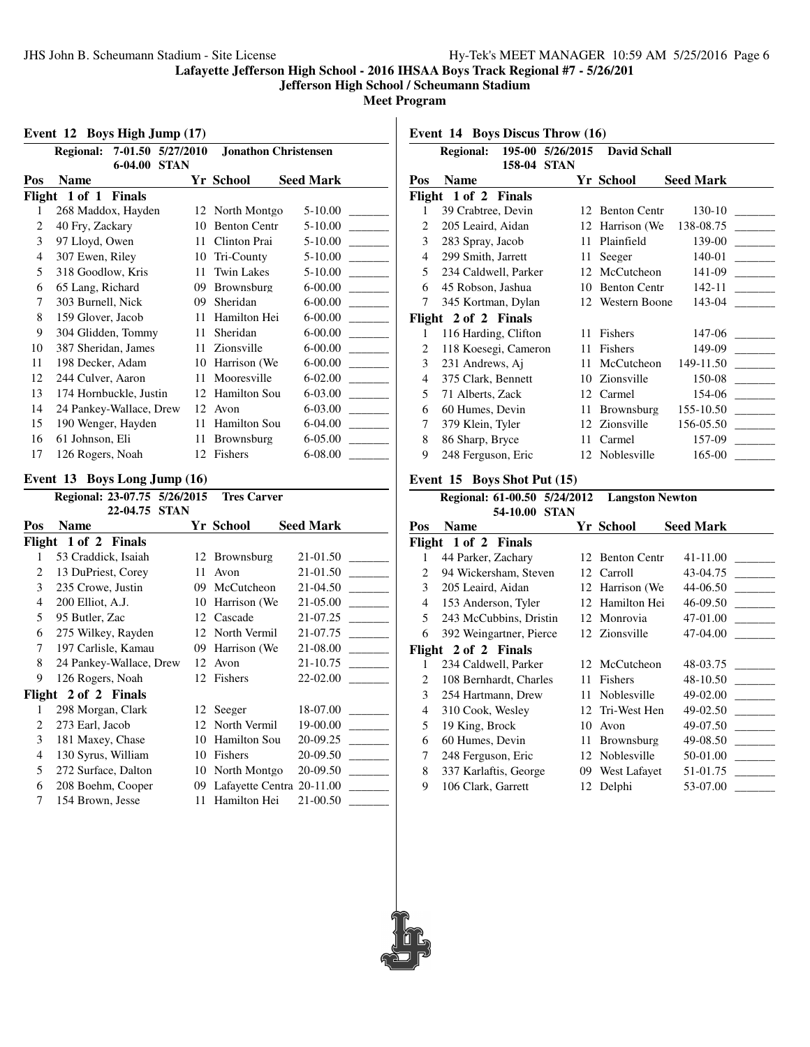**Jefferson High School / Scheumann Stadium**

**Meet Program**

#### **Event 12 Boys High Jump (17)**

|                | 7-01.50 5/27/2010<br><b>Regional:</b> |    | <b>Jonathon Christensen</b> |                  |
|----------------|---------------------------------------|----|-----------------------------|------------------|
| Pos            | $6 - 04.00$<br><b>STAN</b><br>Name    |    | Yr School                   | <b>Seed Mark</b> |
| Flight         | 1 of 1<br><b>Finals</b>               |    |                             |                  |
| 1              | 268 Maddox, Hayden                    |    | 12 North Montgo             | $5-10.00$        |
| 2              | 40 Fry, Zackary                       | 10 | <b>Benton Centr</b>         | 5-10.00          |
| 3              | 97 Lloyd, Owen                        | 11 | Clinton Prai                | $5 - 10.00$      |
| $\overline{4}$ | 307 Ewen, Riley                       | 10 | Tri-County                  | $5 - 10.00$      |
| 5              | 318 Goodlow, Kris                     | 11 | Twin Lakes                  | 5-10.00          |
| 6              | 65 Lang, Richard                      | 09 | <b>Brownsburg</b>           | $6 - 00.00$      |
| 7              | 303 Burnell, Nick                     | 09 | Sheridan                    | $6 - 00.00$      |
| 8              | 159 Glover, Jacob                     | 11 | Hamilton Hei                | $6 - 00.00$      |
| 9              | 304 Glidden, Tommy                    | 11 | Sheridan                    | $6 - 00.00$      |
| 10             | 387 Sheridan, James                   | 11 | Zionsville                  | $6 - 00.00$      |
| 11             | 198 Decker, Adam                      | 10 | Harrison (We                | 6-00.00          |
| 12             | 244 Culver, Aaron                     | 11 | Mooresville                 | $6 - 02.00$      |
| 13             | 174 Hornbuckle, Justin                | 12 | Hamilton Sou                | 6-03.00          |
| 14             | 24 Pankey-Wallace, Drew               | 12 | Avon                        | 6-03.00          |
| 15             | 190 Wenger, Hayden                    | 11 | Hamilton Sou                | 6-04.00          |
| 16             | 61 Johnson, Eli                       | 11 | <b>Brownsburg</b>           | 6-05.00          |
| 17             | 126 Rogers, Noah                      | 12 | Fishers                     | 6-08.00          |

#### **Event 13 Boys Long Jump (16)**

|                | Regional: 23-07.75 5/26/2015 |     | <b>Tres Carver</b>        |           |
|----------------|------------------------------|-----|---------------------------|-----------|
|                | 22-04.75<br><b>STAN</b>      |     |                           |           |
| Pos            | Name                         |     | Yr School                 | Seed Mark |
|                | Flight 1 of 2 Finals         |     |                           |           |
| 1              | 53 Craddick, Isaiah          |     | 12 Brownsburg             | 21-01.50  |
| $\overline{c}$ | 13 DuPriest, Corey           | 11  | Avon                      | 21-01.50  |
| 3              | 235 Crowe, Justin            | 09  | McCutcheon                | 21-04.50  |
| $\overline{4}$ | 200 Elliot, A.J.             | 10  | Harrison (We              | 21-05.00  |
| 5              | 95 Butler, Zac               |     | 12 Cascade                | 21-07.25  |
| 6              | 275 Wilkey, Rayden           |     | 12 North Vermil           | 21-07.75  |
| 7              | 197 Carlisle, Kamau          | 09  | Harrison (We              | 21-08.00  |
| 8              | 24 Pankey-Wallace, Drew      | 12  | Avon                      | 21-10.75  |
| 9              | 126 Rogers, Noah             | 12  | Fishers                   | 22-02.00  |
| Flight         | 2 of 2 Finals                |     |                           |           |
| 1              | 298 Morgan, Clark            |     | 12 Seeger                 | 18-07.00  |
| 2              | 273 Earl, Jacob              | 12  | North Vermil              | 19-00.00  |
| 3              | 181 Maxey, Chase             | 10  | Hamilton Sou              | 20-09.25  |
| 4              | 130 Syrus, William           | 10  | Fishers                   | 20-09.50  |
| 5              | 272 Surface, Dalton          | 10  | North Montgo              | 20-09.50  |
| 6              | 208 Boehm, Cooper            | 09. | Lafayette Centra 20-11.00 |           |
| 7              | 154 Brown, Jesse             | 11  | Hamilton Hei              | 21-00.50  |

**Event 14 Boys Discus Throw (16)**

|     | Regional: 195-00 5/26/2015   |               | <b>David Schall</b>               |                  |
|-----|------------------------------|---------------|-----------------------------------|------------------|
| Pos | 158-04<br><b>Name</b>        | <b>STAN</b>   |                                   |                  |
|     |                              |               | Yr School                         | <b>Seed Mark</b> |
|     | Flight 1 of 2 Finals         |               |                                   |                  |
| 1   | 39 Crabtree, Devin           |               | 12 Benton Centr                   | 130-10           |
| 2   | 205 Leaird, Aidan            |               | 12 Harrison (We                   | 138-08.75        |
| 3   | 283 Spray, Jacob             | 11            | Plainfield                        | 139-00           |
| 4   | 299 Smith, Jarrett           | 11            | Seeger                            | 140-01           |
| 5   | 234 Caldwell, Parker         | 12            | McCutcheon                        | 141-09           |
| 6   | 45 Robson, Jashua            | 10            | <b>Benton Centr</b>               | 142-11           |
| 7   | 345 Kortman, Dylan           |               | 12 Western Boone                  | 143-04           |
|     | Flight 2 of 2 Finals         |               |                                   |                  |
| 1   | 116 Harding, Clifton         | 11            | Fishers                           | 147-06           |
| 2   | 118 Koesegi, Cameron         | 11            | Fishers                           | 149-09           |
| 3   | 231 Andrews, Aj              | 11            | McCutcheon                        | 149-11.50        |
| 4   | 375 Clark, Bennett           |               | 10 Zionsville                     | 150-08           |
| 5   | 71 Alberts, Zack             |               | 12 Carmel                         |                  |
| 6   | 60 Humes, Devin              | 11 -          | Brownsburg                        | 155-10.50        |
| 7   | 379 Klein, Tyler             |               | 12 Zionsville                     |                  |
| 8   | 86 Sharp, Bryce              |               | 11 Carmel                         | 157-09           |
| 9   | 248 Ferguson, Eric           |               | 12 Noblesville                    | 165-00           |
|     | Event 15 Boys Shot Put (15)  |               |                                   |                  |
|     | Regional: 61-00.50 5/24/2012 |               | <b>Langston Newton</b>            |                  |
|     |                              | 54-10.00 STAN |                                   |                  |
| Pos | <b>Name</b>                  |               | Yr School                         | <b>Seed Mark</b> |
|     | Flight 1 of 2 Finals         |               |                                   |                  |
|     | $1 - 44$ Dorker Zochory      |               | 12 Ranton Cantr $\alpha$ 11 11 00 |                  |

|                               | $\sim$ 01 $\sim$ 1.11410 |    |                 |                                      |
|-------------------------------|--------------------------|----|-----------------|--------------------------------------|
| 1                             | 44 Parker, Zachary       |    | 12 Benton Centr | 41-11.00                             |
| 2                             | 94 Wickersham, Steven    |    | 12 Carroll      | 43-04.75                             |
| 3                             | 205 Leaird, Aidan        |    | 12 Harrison (We | 44-06.50                             |
| 4                             | 153 Anderson, Tyler      |    | 12 Hamilton Hei | 46-09.50<br><b>Contract Contract</b> |
| 5                             | 243 McCubbins, Dristin   |    | 12 Monrovia     | 47-01.00                             |
| 6                             | 392 Weingartner, Pierce  |    | 12 Zionsville   | 47-04.00                             |
|                               | Flight 2 of 2 Finals     |    |                 |                                      |
|                               | 234 Caldwell, Parker     |    | 12 McCutcheon   | 48-03.75                             |
| $\mathfrak{D}_{\mathfrak{p}}$ | 108 Bernhardt, Charles   |    | 11 Fishers      | 48-10.50                             |
| 3                             | 254 Hartmann, Drew       |    | 11 Noblesville  | 49-02.00                             |
| 4                             | 310 Cook, Wesley         |    | 12 Tri-West Hen | 49-02.50                             |
| 5                             | 19 King, Brock           | 10 | Avon            | 49-07.50                             |
| 6                             | 60 Humes, Devin          |    | 11 Brownsburg   | 49-08.50                             |
| 7                             | 248 Ferguson, Eric       |    | 12 Noblesville  | 50-01.00                             |

8 337 Karlaftis, George 09 West Lafayet 51-01.75 9 106 Clark, Garrett 12 Delphi 53-07.00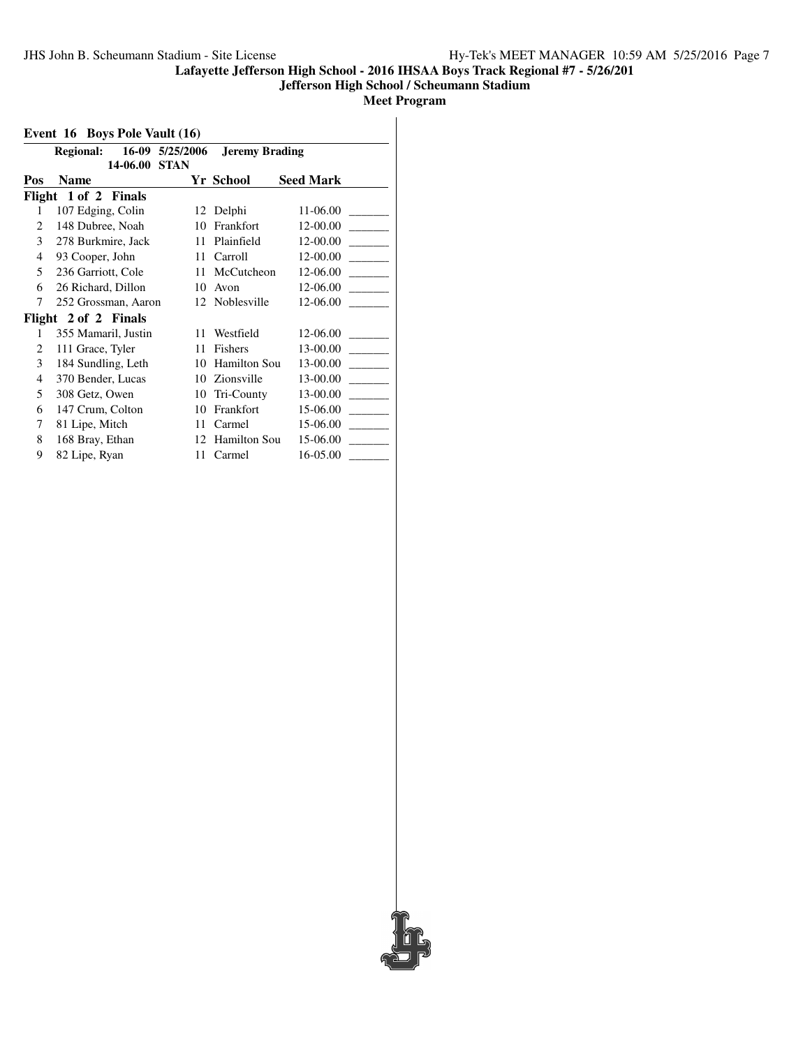#### **Jefferson High School / Scheumann Stadium**

**Meet Program**

#### **Event 16 Boys Pole Vault (16)**

|     | <b>Regional:</b>     | 16-09 5/25/2006 | <b>Jeremy Brading</b> |                  |
|-----|----------------------|-----------------|-----------------------|------------------|
|     | 14-06.00             | <b>STAN</b>     |                       |                  |
| Pos | Name                 |                 | Yr School             | <b>Seed Mark</b> |
|     | Flight 1 of 2 Finals |                 |                       |                  |
| 1   | 107 Edging, Colin    |                 | 12 Delphi             | 11-06.00         |
| 2   | 148 Dubree, Noah     | 10              | Frankfort             | 12-00.00         |
| 3   | 278 Burkmire, Jack   | 11              | Plainfield            | 12-00.00         |
| 4   | 93 Cooper, John      | 11              | Carroll               | 12-00.00         |
| 5   | 236 Garriott, Cole   | 11              | McCutcheon            | 12-06.00         |
| 6   | 26 Richard, Dillon   | 10              | Avon                  | 12-06.00         |
| 7   | 252 Grossman, Aaron  |                 | 12 Noblesville        | 12-06.00         |
|     | Flight 2 of 2 Finals |                 |                       |                  |
| 1   | 355 Mamaril, Justin  | 11              | Westfield             | 12-06.00         |
| 2   | 111 Grace, Tyler     | 11              | Fishers               | 13-00.00         |
| 3   | 184 Sundling, Leth   | 10              | Hamilton Sou          | 13-00.00         |
| 4   | 370 Bender, Lucas    | 10              | Zionsville            | 13-00.00         |
| 5   | 308 Getz, Owen       | 10              | Tri-County            | 13-00.00         |
| 6   | 147 Crum, Colton     | 10              | Frankfort             | 15-06.00         |
| 7   | 81 Lipe, Mitch       | 11              | Carmel                | 15-06.00         |
| 8   | 168 Bray, Ethan      | 12              | <b>Hamilton Sou</b>   | 15-06.00         |
| 9   | 82 Lipe, Ryan        | 11              | Carmel                | 16-05.00         |

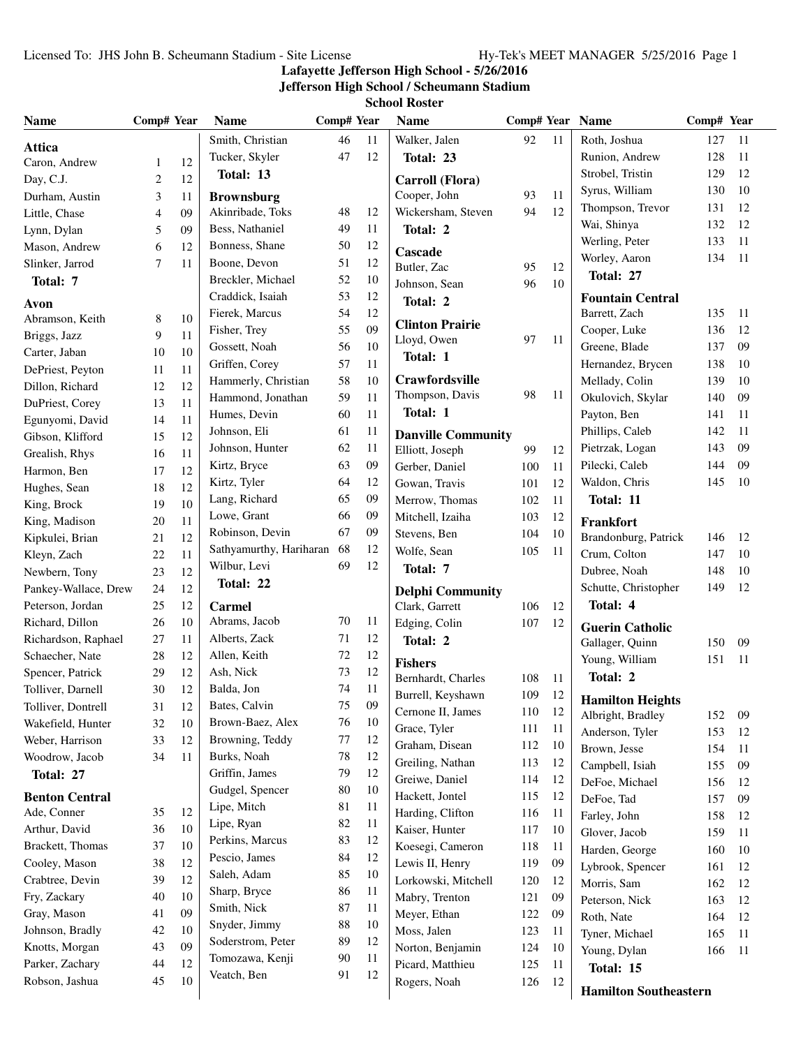#### **Lafayette Jefferson High School - 5/26/2016**

**Jefferson High School / Scheumann Stadium**

**School Roster**

| <b>Name</b>                        | Comp# Year |          | <b>Name</b>                | Comp# Year |        | <b>Name</b>                               | Comp# Year Name |    |                                   | Comp# Year |    |
|------------------------------------|------------|----------|----------------------------|------------|--------|-------------------------------------------|-----------------|----|-----------------------------------|------------|----|
| <b>Attica</b>                      |            |          | Smith, Christian           | 46         | 11     | Walker, Jalen                             | 92              | 11 | Roth, Joshua                      | 127        | 11 |
| Caron, Andrew                      | 1          | 12       | Tucker, Skyler             | 47         | 12     | Total: 23                                 |                 |    | Runion, Andrew                    | 128        | 11 |
| Day, C.J.                          | 2          | 12       | Total: 13                  |            |        | Carroll (Flora)                           |                 |    | Strobel, Tristin                  | 129        | 12 |
| Durham, Austin                     | 3          | 11       | <b>Brownsburg</b>          |            |        | Cooper, John                              | 93              | 11 | Syrus, William                    | 130        | 10 |
| Little, Chase                      | 4          | 09       | Akinribade, Toks           | 48         | 12     | Wickersham, Steven                        | 94              | 12 | Thompson, Trevor                  | 131        | 12 |
| Lynn, Dylan                        | 5          | 09       | Bess, Nathaniel            | 49         | 11     | Total: 2                                  |                 |    | Wai, Shinya                       | 132        | 12 |
| Mason, Andrew                      | 6          | 12       | Bonness, Shane             | 50         | 12     |                                           |                 |    | Werling, Peter                    | 133        | 11 |
| Slinker, Jarrod                    | 7          | 11       | Boone, Devon               | 51         | 12     | <b>Cascade</b><br>Butler, Zac             | 95              | 12 | Worley, Aaron                     | 134        | 11 |
| Total: 7                           |            |          | Breckler, Michael          | 52         | 10     | Johnson, Sean                             | 96              | 10 | Total: 27                         |            |    |
|                                    |            |          | Craddick, Isaiah           | 53         | 12     | Total: 2                                  |                 |    | <b>Fountain Central</b>           |            |    |
| Avon                               |            | $10\,$   | Fierek, Marcus             | 54         | 12     |                                           |                 |    | Barrett, Zach                     | 135        | 11 |
| Abramson, Keith                    | 8<br>9     | 11       | Fisher, Trey               | 55         | 09     | <b>Clinton Prairie</b>                    |                 |    | Cooper, Luke                      | 136        | 12 |
| Briggs, Jazz                       |            | 10       | Gossett, Noah              | 56         | 10     | Lloyd, Owen                               | 97              | 11 | Greene, Blade                     | 137        | 09 |
| Carter, Jaban                      | 10         |          | Griffen, Corey             | 57         | 11     | Total: 1                                  |                 |    | Hernandez, Brycen                 | 138        | 10 |
| DePriest, Peyton                   | 11<br>12   | 11<br>12 | Hammerly, Christian        | 58         | 10     | Crawfordsville                            |                 |    | Mellady, Colin                    | 139        | 10 |
| Dillon, Richard                    | 13         | 11       | Hammond, Jonathan          | 59         | 11     | Thompson, Davis                           | 98              | 11 | Okulovich, Skylar                 | 140        | 09 |
| DuPriest, Corey<br>Egunyomi, David | 14         | 11       | Humes, Devin               | 60         | 11     | Total: 1                                  |                 |    | Payton, Ben                       | 141        | 11 |
| Gibson, Klifford                   | 15         | 12       | Johnson, Eli               | 61         | 11     | <b>Danville Community</b>                 |                 |    | Phillips, Caleb                   | 142        | 11 |
| Grealish, Rhys                     | 16         | $11\,$   | Johnson, Hunter            | 62         | 11     | Elliott, Joseph                           | 99              | 12 | Pietrzak, Logan                   | 143        | 09 |
| Harmon, Ben                        | 17         | 12       | Kirtz, Bryce               | 63         | 09     | Gerber, Daniel                            | 100             | 11 | Pilecki, Caleb                    | 144        | 09 |
|                                    | 18         | 12       | Kirtz, Tyler               | 64         | 12     | Gowan, Travis                             | 101             | 12 | Waldon, Chris                     | 145        | 10 |
| Hughes, Sean                       | 19         | 10       | Lang, Richard              | 65         | 09     | Merrow, Thomas                            | 102             | 11 | Total: 11                         |            |    |
| King, Brock                        | 20         | 11       | Lowe, Grant                | 66         | 09     | Mitchell, Izaiha                          | 103             | 12 |                                   |            |    |
| King, Madison<br>Kipkulei, Brian   | 21         | 12       | Robinson, Devin            | 67         | 09     | Stevens, Ben                              | 104             | 10 | Frankfort<br>Brandonburg, Patrick | 146        | 12 |
| Kleyn, Zach                        | 22         | 11       | Sathyamurthy, Hariharan 68 |            | 12     | Wolfe, Sean                               | 105             | 11 | Crum, Colton                      | 147        | 10 |
| Newbern, Tony                      | 23         | 12       | Wilbur, Levi               | 69         | 12     | Total: 7                                  |                 |    | Dubree, Noah                      | 148        | 10 |
| Pankey-Wallace, Drew               | 24         | 12       | Total: 22                  |            |        |                                           |                 |    | Schutte, Christopher              | 149        | 12 |
| Peterson, Jordan                   | 25         | 12       | <b>Carmel</b>              |            |        | <b>Delphi Community</b><br>Clark, Garrett | 106             | 12 | Total: 4                          |            |    |
| Richard, Dillon                    | 26         | 10       | Abrams, Jacob              | 70         | 11     | Edging, Colin                             | 107             | 12 |                                   |            |    |
| Richardson, Raphael                | 27         | 11       | Alberts, Zack              | 71         | 12     | Total: 2                                  |                 |    | <b>Guerin Catholic</b>            |            |    |
| Schaecher, Nate                    | 28         | 12       | Allen, Keith               | 72         | 12     |                                           |                 |    | Gallager, Quinn                   | 150        | 09 |
| Spencer, Patrick                   | 29         | 12       | Ash, Nick                  | 73         | 12     | <b>Fishers</b>                            |                 |    | Young, William                    | 151        | 11 |
| Tolliver, Darnell                  | 30         | 12       | Balda, Jon                 | 74         | 11     | Bernhardt, Charles                        | 108             | 11 | Total: 2                          |            |    |
| Tolliver, Dontrell                 | 31         | $12\,$   | Bates, Calvin              | 75         | $09\,$ | Burrell, Keyshawn                         | 109             | 12 | <b>Hamilton Heights</b>           |            |    |
| Wakefield, Hunter                  | 32         | 10       | Brown-Baez, Alex           | 76         | 10     | Cernone II, James                         | 110             | 12 | Albright, Bradley                 | 152        | 09 |
| Weber, Harrison                    | 33         | 12       | Browning, Teddy            | 77         | 12     | Grace, Tyler                              | 111             | 11 | Anderson, Tyler                   | 153        | 12 |
| Woodrow, Jacob                     | 34         | 11       | Burks, Noah                | 78         | 12     | Graham, Disean                            | 112             | 10 | Brown, Jesse                      | 154        | 11 |
| Total: 27                          |            |          | Griffin, James             | 79         | 12     | Greiling, Nathan                          | 113             | 12 | Campbell, Isiah                   | 155        | 09 |
|                                    |            |          | Gudgel, Spencer            | 80         | 10     | Greiwe, Daniel                            | 114             | 12 | DeFoe, Michael                    | 156        | 12 |
| <b>Benton Central</b>              |            |          | Lipe, Mitch                | 81         | 11     | Hackett, Jontel                           | 115             | 12 | DeFoe, Tad                        | 157        | 09 |
| Ade, Conner                        | 35         | 12       | Lipe, Ryan                 | 82         | 11     | Harding, Clifton                          | 116             | 11 | Farley, John                      | 158        | 12 |
| Arthur, David                      | 36         | $10\,$   | Perkins, Marcus            | 83         | 12     | Kaiser, Hunter                            | 117             | 10 | Glover, Jacob                     | 159        | 11 |
| Brackett, Thomas                   | 37         | 10       | Pescio, James              | 84         | 12     | Koesegi, Cameron                          | 118             | 11 | Harden, George                    | 160        | 10 |
| Cooley, Mason                      | 38         | 12       | Saleh, Adam                | 85         | 10     | Lewis II, Henry                           | 119             | 09 | Lybrook, Spencer                  | 161        | 12 |
| Crabtree, Devin                    | 39         | 12       | Sharp, Bryce               | 86         | 11     | Lorkowski, Mitchell                       | 120             | 12 | Morris, Sam                       | 162        | 12 |
| Fry, Zackary                       | 40         | $10\,$   | Smith, Nick                | 87         | 11     | Mabry, Trenton                            | 121             | 09 | Peterson, Nick                    | 163        | 12 |
| Gray, Mason                        | 41         | 09       | Snyder, Jimmy              | 88         | 10     | Meyer, Ethan                              | 122             | 09 | Roth, Nate                        | 164        | 12 |
| Johnson, Bradly                    | 42         | 10       | Soderstrom, Peter          | 89         | 12     | Moss, Jalen                               | 123             | 11 | Tyner, Michael                    | 165        | 11 |
| Knotts, Morgan                     | 43         | 09       | Tomozawa, Kenji            | 90         | 11     | Norton, Benjamin                          | 124             | 10 | Young, Dylan                      | 166        | 11 |
| Parker, Zachary                    | 44         | 12       | Veatch, Ben                | 91         | 12     | Picard, Matthieu                          | 125             | 11 | Total: 15                         |            |    |
| Robson, Jashua                     | 45         | 10       |                            |            |        | Rogers, Noah                              | 126             | 12 | <b>Hamilton Southeastern</b>      |            |    |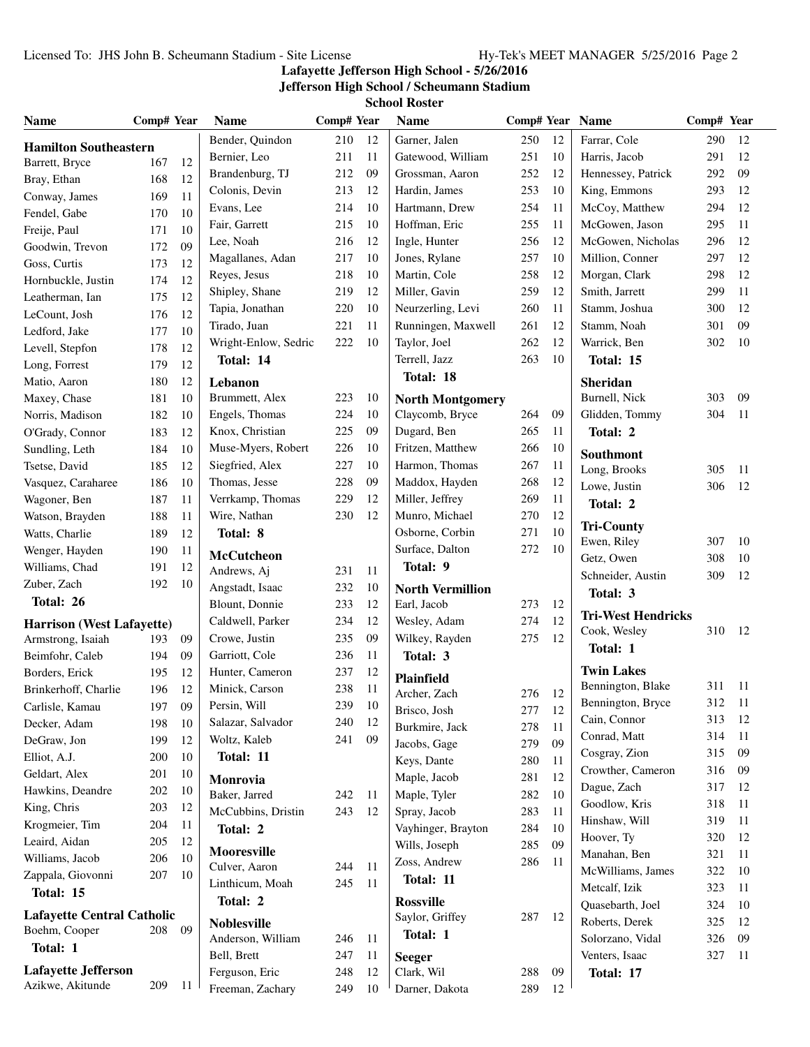## Licensed To: JHS John B. Scheumann Stadium - Site License Hy-Tek's MEET MANAGER 5/25/2016 Page 2

## **Lafayette Jefferson High School - 5/26/2016**

# **Jefferson High School / Scheumann Stadium**

**School Roster**

| <b>Name</b>                       | Comp# Year |     | <b>Name</b>          | Comp# Year |     | <b>Name</b>             |     |    | Comp# Year Name           | Comp# Year |     |
|-----------------------------------|------------|-----|----------------------|------------|-----|-------------------------|-----|----|---------------------------|------------|-----|
| <b>Hamilton Southeastern</b>      |            |     | Bender, Quindon      | 210        | 12  | Garner, Jalen           | 250 | 12 | Farrar, Cole              | 290        | 12  |
| Barrett, Bryce                    | 167        | 12  | Bernier, Leo         | 211        | 11  | Gatewood, William       | 251 | 10 | Harris, Jacob             | 291        | 12  |
| Bray, Ethan                       | 168        | 12  | Brandenburg, TJ      | 212        | 09  | Grossman, Aaron         | 252 | 12 | Hennessey, Patrick        | 292        | 09  |
| Conway, James                     | 169        | 11  | Colonis, Devin       | 213        | 12  | Hardin, James           | 253 | 10 | King, Emmons              | 293        | 12  |
| Fendel, Gabe                      | 170        | 10  | Evans, Lee           | 214        | 10  | Hartmann, Drew          | 254 | 11 | McCoy, Matthew            | 294        | 12  |
| Freije, Paul                      | 171        | 10  | Fair, Garrett        | 215        | 10  | Hoffman, Eric           | 255 | 11 | McGowen, Jason            | 295        | 11  |
| Goodwin, Trevon                   | 172        | 09  | Lee, Noah            | 216        | 12  | Ingle, Hunter           | 256 | 12 | McGowen, Nicholas         | 296        | 12  |
| Goss, Curtis                      | 173        | 12  | Magallanes, Adan     | 217        | 10  | Jones, Rylane           | 257 | 10 | Million, Conner           | 297        | 12  |
| Hornbuckle, Justin                | 174        | 12  | Reyes, Jesus         | 218        | 10  | Martin, Cole            | 258 | 12 | Morgan, Clark             | 298        | 12  |
| Leatherman, Ian                   | 175        | 12  | Shipley, Shane       | 219        | 12  | Miller, Gavin           | 259 | 12 | Smith, Jarrett            | 299        | 11  |
|                                   | 176        | 12  | Tapia, Jonathan      | 220        | 10  | Neurzerling, Levi       | 260 | 11 | Stamm, Joshua             | 300        | 12  |
| LeCount, Josh                     |            |     | Tirado, Juan         | 221        | 11  | Runningen, Maxwell      | 261 | 12 | Stamm, Noah               | 301        | 09  |
| Ledford, Jake                     | 177        | 10  | Wright-Enlow, Sedric | 222        | 10  | Taylor, Joel            | 262 | 12 | Warrick, Ben              | 302        | 10  |
| Levell, Stepfon                   | 178        | 12  | Total: 14            |            |     | Terrell, Jazz           | 263 | 10 | Total: 15                 |            |     |
| Long, Forrest                     | 179        | 12  |                      |            |     | Total: 18               |     |    |                           |            |     |
| Matio, Aaron                      | 180        | 12  | Lebanon              |            |     |                         |     |    | Sheridan                  |            |     |
| Maxey, Chase                      | 181        | 10  | Brummett, Alex       | 223        | 10  | <b>North Montgomery</b> |     |    | Burnell, Nick             | 303        | 09  |
| Norris, Madison                   | 182        | 10  | Engels, Thomas       | 224        | 10  | Claycomb, Bryce         | 264 | 09 | Glidden, Tommy            | 304        | 11  |
| O'Grady, Connor                   | 183        | 12  | Knox, Christian      | 225        | 09  | Dugard, Ben             | 265 | 11 | Total: 2                  |            |     |
| Sundling, Leth                    | 184        | 10  | Muse-Myers, Robert   | 226        | 10  | Fritzen, Matthew        | 266 | 10 | Southmont                 |            |     |
| Tsetse, David                     | 185        | 12  | Siegfried, Alex      | 227        | 10  | Harmon, Thomas          | 267 | 11 | Long, Brooks              | 305        | 11  |
| Vasquez, Caraharee                | 186        | 10  | Thomas, Jesse        | 228        | 09  | Maddox, Hayden          | 268 | 12 | Lowe, Justin              | 306        | 12  |
| Wagoner, Ben                      | 187        | 11  | Verrkamp, Thomas     | 229        | 12  | Miller, Jeffrey         | 269 | 11 | Total: 2                  |            |     |
| Watson, Brayden                   | 188        | 11  | Wire, Nathan         | 230        | 12  | Munro, Michael          | 270 | 12 |                           |            |     |
| Watts, Charlie                    | 189        | 12  | Total: 8             |            |     | Osborne, Corbin         | 271 | 10 | <b>Tri-County</b>         | 307        | 10  |
| Wenger, Hayden                    | 190        | 11  | <b>McCutcheon</b>    |            |     | Surface, Dalton         | 272 | 10 | Ewen, Riley               |            |     |
| Williams, Chad                    | 191        | 12  | Andrews, Aj          | 231        | 11  | Total: 9                |     |    | Getz, Owen                | 308        | 10  |
| Zuber, Zach                       | 192        | 10  | Angstadt, Isaac      | 232        | 10  | <b>North Vermillion</b> |     |    | Schneider, Austin         | 309        | 12  |
| Total: 26                         |            |     | Blount, Donnie       | 233        | 12  | Earl, Jacob             | 273 | 12 | Total: 3                  |            |     |
| <b>Harrison</b> (West Lafayette)  |            |     | Caldwell, Parker     | 234        | 12  | Wesley, Adam            | 274 | 12 | <b>Tri-West Hendricks</b> |            |     |
| Armstrong, Isaiah                 | 193        | 09  | Crowe, Justin        | 235        | 09  | Wilkey, Rayden          | 275 | 12 | Cook, Wesley              | 310        | 12  |
| Beimfohr, Caleb                   | 194        | 09  | Garriott, Cole       | 236        | 11  | Total: 3                |     |    | Total: 1                  |            |     |
| Borders, Erick                    | 195        | 12  | Hunter, Cameron      | 237        | 12  |                         |     |    | <b>Twin Lakes</b>         |            |     |
| Brinkerhoff, Charlie              | 196        | 12  | Minick, Carson       | 238        | 11  | Plainfield              |     |    | Bennington, Blake         | 311        | -11 |
|                                   |            |     | Persin, Will         | 239        | 10  | Archer, Zach            | 276 | 12 | Bennington, Bryce         | 312        | 11  |
| Carlisle, Kamau                   | 197        | 09  |                      | 240        |     | Brisco, Josh            | 277 | 12 | Cain, Connor              | 313        | 12  |
| Decker, Adam                      | 198        | 10  | Salazar, Salvador    | 241        | 12  | Burkmire, Jack          | 278 | 11 | Conrad, Matt              | 314        | 11  |
| DeGraw, Jon                       | 199        | 12  | Woltz, Kaleb         |            | 09  | Jacobs, Gage            | 279 | 09 | Cosgray, Zion             | 315        | 09  |
| Elliot, A.J.                      | 200        | 10  | Total: 11            |            |     | Keys, Dante             | 280 | 11 | Crowther, Cameron         | 316        | 09  |
| Geldart, Alex                     | 201        | 10  | Monrovia             |            |     | Maple, Jacob            | 281 | 12 | Dague, Zach               | 317        | 12  |
| Hawkins, Deandre                  | 202        | 10  | Baker, Jarred        | 242        | -11 | Maple, Tyler            | 282 | 10 | Goodlow, Kris             | 318        | 11  |
| King, Chris                       | 203        | 12  | McCubbins, Dristin   | 243        | 12  | Spray, Jacob            | 283 | 11 | Hinshaw, Will             | 319        | 11  |
| Krogmeier, Tim                    | 204        | 11  | Total: 2             |            |     | Vayhinger, Brayton      | 284 | 10 |                           |            |     |
| Leaird, Aidan                     | 205        | 12  | <b>Mooresville</b>   |            |     | Wills, Joseph           | 285 | 09 | Hoover, Ty                | 320        | 12  |
| Williams, Jacob                   | 206        | 10  | Culver, Aaron        | 244        | -11 | Zoss, Andrew            | 286 | 11 | Manahan, Ben              | 321        | 11  |
| Zappala, Giovonni                 | 207        | 10  | Linthicum, Moah      | 245        | -11 | Total: 11               |     |    | McWilliams, James         | 322        | 10  |
| Total: 15                         |            |     | Total: 2             |            |     | <b>Rossville</b>        |     |    | Metcalf, Izik             | 323        | 11  |
| <b>Lafayette Central Catholic</b> |            |     |                      |            |     | Saylor, Griffey         | 287 | 12 | Quasebarth, Joel          | 324        | 10  |
| Boehm, Cooper                     | 208        | -09 | <b>Noblesville</b>   |            |     | Total: 1                |     |    | Roberts, Derek            | 325        | 12  |
| Total: 1                          |            |     | Anderson, William    | 246        | -11 |                         |     |    | Solorzano, Vidal          | 326        | 09  |
|                                   |            |     | Bell, Brett          | 247        | -11 | <b>Seeger</b>           |     |    | Venters, Isaac            | 327        | 11  |
| <b>Lafayette Jefferson</b>        |            |     | Ferguson, Eric       | 248        | 12  | Clark, Wil              | 288 | 09 | Total: 17                 |            |     |
| Azikwe, Akitunde                  | 209        | 11  | Freeman, Zachary     | 249        | 10  | Darner, Dakota          | 289 | 12 |                           |            |     |